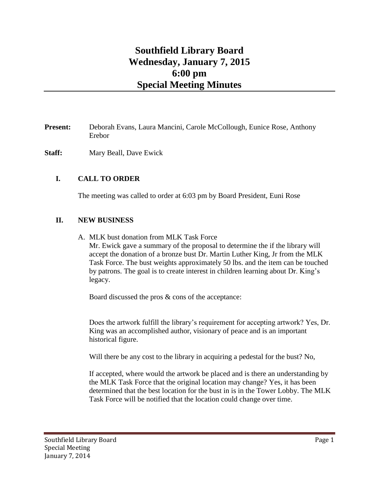## **Southfield Library Board Wednesday, January 7, 2015 6:00 pm Special Meeting Minutes**

## **Present:** Deborah Evans, Laura Mancini, Carole McCollough, Eunice Rose, Anthony Erebor

**Staff:** Mary Beall, Dave Ewick

## **I. CALL TO ORDER**

The meeting was called to order at 6:03 pm by Board President, Euni Rose

## **II. NEW BUSINESS**

A. MLK bust donation from MLK Task Force

Mr. Ewick gave a summary of the proposal to determine the if the library will accept the donation of a bronze bust Dr. Martin Luther King, Jr from the MLK Task Force. The bust weights approximately 50 lbs. and the item can be touched by patrons. The goal is to create interest in children learning about Dr. King's legacy.

Board discussed the pros & cons of the acceptance:

Does the artwork fulfill the library's requirement for accepting artwork? Yes, Dr. King was an accomplished author, visionary of peace and is an important historical figure.

Will there be any cost to the library in acquiring a pedestal for the bust? No,

If accepted, where would the artwork be placed and is there an understanding by the MLK Task Force that the original location may change? Yes, it has been determined that the best location for the bust in is in the Tower Lobby. The MLK Task Force will be notified that the location could change over time.